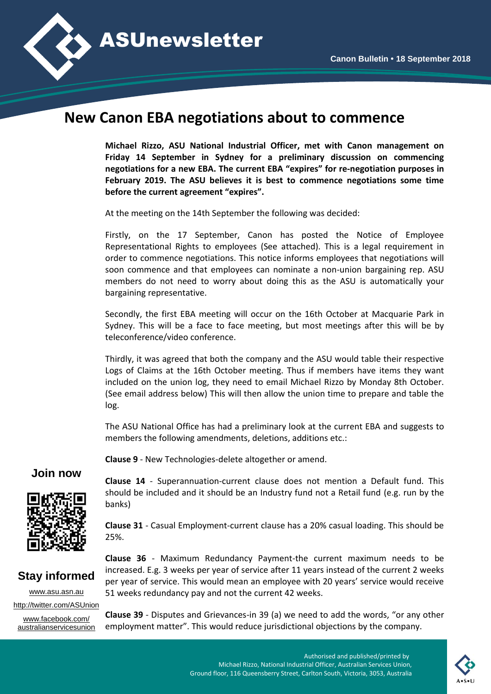

## **New Canon EBA negotiations about to commence**

**Michael Rizzo, ASU National Industrial Officer, met with Canon management on Friday 14 September in Sydney for a preliminary discussion on commencing negotiations for a new EBA. The current EBA "expires" for re-negotiation purposes in February 2019. The ASU believes it is best to commence negotiations some time before the current agreement "expires".**

At the meeting on the 14th September the following was decided:

Firstly, on the 17 September, Canon has posted the Notice of Employee Representational Rights to employees (See attached). This is a legal requirement in order to commence negotiations. This notice informs employees that negotiations will soon commence and that employees can nominate a non-union bargaining rep. ASU members do not need to worry about doing this as the ASU is automatically your bargaining representative.

Secondly, the first EBA meeting will occur on the 16th October at Macquarie Park in Sydney. This will be a face to face meeting, but most meetings after this will be by teleconference/video conference.

Thirdly, it was agreed that both the company and the ASU would table their respective Logs of Claims at the 16th October meeting. Thus if members have items they want included on the union log, they need to email Michael Rizzo by Monday 8th October. (See email address below) This will then allow the union time to prepare and table the log.

The ASU National Office has had a preliminary look at the current EBA and suggests to members the following amendments, deletions, additions etc.:

**Clause 9** - New Technologies-delete altogether or amend.

## **Join now**



**Clause 14** - Superannuation-current clause does not mention a Default fund. This should be included and it should be an Industry fund not a Retail fund (e.g. run by the banks)

**Clause 31** - Casual Employment-current clause has a 20% casual loading. This should be 25%.

## **Stay informed**

[www.asu.asn.au](http://www.asu.asn.au/) <http://twitter.com/ASUnion> [www.facebook.com/](http://www.facebook.com/australianservicesunion) [australianservicesunion](http://www.facebook.com/australianservicesunion)

**Clause 36** - Maximum Redundancy Payment-the current maximum needs to be increased. E.g. 3 weeks per year of service after 11 years instead of the current 2 weeks per year of service. This would mean an employee with 20 years' service would receive 51 weeks redundancy pay and not the current 42 weeks.

**Clause 39** - Disputes and Grievances-in 39 (a) we need to add the words, "or any other employment matter". This would reduce jurisdictional objections by the company.